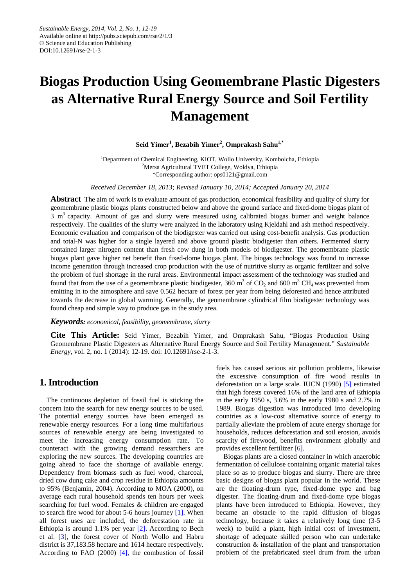# **Biogas Production Using Geomembrane Plastic Digesters as Alternative Rural Energy Source and Soil Fertility Management**

**Seid Yimer<sup>1</sup> , Bezabih Yimer<sup>2</sup> , Omprakash Sahu1,\***

<sup>1</sup>Department of Chemical Engineering, KIOT, Wollo University, Kombolcha, Ethiopia 2 Mersa Agricultural TVET College, Woldya, Ethiopia \*Corresponding author: ops0121@gmail.com

*Received December 18, 2013; Revised January 10, 2014; Accepted January 20, 2014*

**Abstract** The aim of work is to evaluate amount of gas production, economical feasibility and quality of slurry for geomembrane plastic biogas plants constructed below and above the ground surface and fixed-dome biogas plant of 3 m3 capacity. Amount of gas and slurry were measured using calibrated biogas burner and weight balance respectively. The qualities of the slurry were analyzed in the laboratory using Kjeldahl and ash method respectively. Economic evaluation and comparison of the biodigester was carried out using cost-benefit analysis. Gas production and total-N was higher for a single layered and above ground plastic biodigester than others. Fermented slurry contained larger nitrogen content than fresh cow dung in both models of biodigester. The geomembrane plastic biogas plant gave higher net benefit than fixed-dome biogas plant. The biogas technology was found to increase income generation through increased crop production with the use of nutritive slurry as organic fertilizer and solve the problem of fuel shortage in the rural areas. Environmental impact assessment of the technology was studied and found that from the use of a geomembrane plastic biodigester, 360 m<sup>3</sup> of CO<sub>2</sub> and 600 m<sup>3</sup> CH<sub>4</sub> was prevented from emitting in to the atmosphere and save 0.562 hectare of forest per year from being deforested and hence attributed towards the decrease in global warming. Generally, the geomembrane cylindrical film biodigester technology was found cheap and simple way to produce gas in the study area.

*Keywords: economical, feasibility, geomembrane, slurry*

**Cite This Article:** Seid Yimer, Bezabih Yimer, and Omprakash Sahu, "Biogas Production Using Geomembrane Plastic Digesters as Alternative Rural Energy Source and Soil Fertility Management." *Sustainable Energy,* vol. 2, no. 1 (2014): 12-19. doi: 10.12691/rse-2-1-3.

# **1. Introduction**

The continuous depletion of fossil fuel is sticking the concern into the search for new energy sources to be used. The potential energy sources have been emerged as renewable energy resources. For a long time multifarious sources of renewable energy are being investigated to meet the increasing energy consumption rate. To counteract with the growing demand researchers are exploring the new sources. The developing countries are going ahead to face the shortage of available energy. Dependency from biomass such as fuel wood, charcoal, dried cow dung cake and crop residue in Ethiopia amounts to 95% (Benjamin, 2004). According to MOA (2000), on average each rural household spends ten hours per week searching for fuel wood. Females & children are engaged to search fire wood for about 5-6 hours journey [1]. When all forest uses are included, the deforestation rate in Ethiopia is around 1.1% per year [\[2\].](#page-7-0) According to Bech et al. [\[3\],](#page-7-1) the forest cover of North Wollo and Habru district is 37,183.58 hectare and 1614 hectare respectively. According to FAO  $(2000)$   $[4]$ , the combustion of fossil fuels has caused serious air pollution problems, likewise the excessive consumption of fire wood results in deforestation on a large scale. IUCN (1990) [\[5\]](#page-7-3) estimated that high forests covered 16% of the land area of Ethiopia in the early 1950 s, 3.6% in the early 1980 s and 2.7% in 1989. Biogas digestion was introduced into developing countries as a low-cost alternative source of energy to partially alleviate the problem of acute energy shortage for households, reduces deforestation and soil erosion, avoids scarcity of firewood, benefits environment globally and provides excellent fertilize[r \[6\].](#page-7-4)

Biogas plants are a closed container in which anaerobic fermentation of cellulose containing organic material takes place so as to produce biogas and slurry. There are three basic designs of biogas plant popular in the world. These are the floating-drum type, fixed-dome type and bag digester. The floating-drum and fixed-dome type biogas plants have been introduced to Ethiopia. However, they became an obstacle to the rapid diffusion of biogas technology, because it takes a relatively long time (3-5 week) to build a plant, high initial cost of investment, shortage of adequate skilled person who can undertake construction & installation of the plant and transportation problem of the prefabricated steel drum from the urban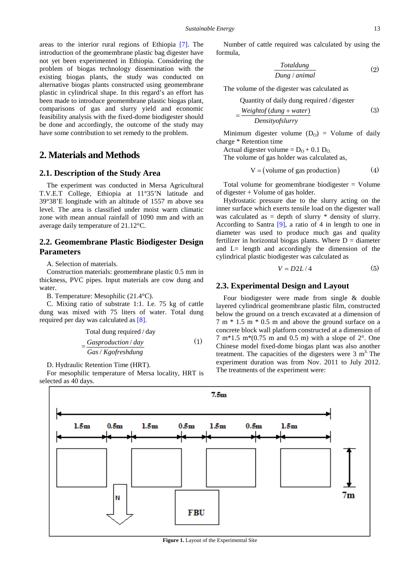areas to the interior rural regions of Ethiopia [\[7\].](#page-7-5) The introduction of the geomembrane plastic bag digester have not yet been experimented in Ethiopia. Considering the problem of biogas technology dissemination with the existing biogas plants, the study was conducted on alternative biogas plants constructed using geomembrane plastic in cylindrical shape. In this regard's an effort has been made to introduce geomembrane plastic biogas plant, comparisons of gas and slurry yield and economic feasibility analysis with the fixed-dome biodigester should be done and accordingly, the outcome of the study may have some contribution to set remedy to the problem.

### **2. Materials and Methods**

### **2.1. Description of the Study Area**

The experiment was conducted in Mersa Agricultural T.V.E.T College, Ethiopia at 11°35'N latitude and 39°38'E longitude with an altitude of 1557 m above sea level. The area is classified under moist warm climatic zone with mean annual rainfall of 1090 mm and with an average daily temperature of 21.12°C.

## **2.2. Geomembrane Plastic Biodigester Design Parameters**

A. Selection of materials.

Construction materials: geomembrane plastic 0.5 mm in thickness, PVC pipes. Input materials are cow dung and water.

B. Temperature: Mesophilic (21.4°C).

C. Mixing ratio of substrate 1:1. I.e. 75 kg of cattle dung was mixed with 75 liters of water. Total dung required per day was calculated as [\[8\].](#page-7-6)

> Total dung required / day  $=\frac{Gasproduction / day}{Gas / Kgofresholdung}$

D. Hydraulic Retention Time (HRT).

For mesophilic temperature of Mersa locality, HRT is selected as 40 days.

Gas / Kgofreshdung

Number of cattle required was calculated by using the formula,

$$
\frac{Totaldung}{Dung / animal}
$$
 (2)

The volume of the digester was calculated as

Quantity of daily dung required / digester

$$
=\frac{Weight of (dung + water)}{Density of slurr}
$$
(3)

Minimum digester volume  $(D<sub>0</sub>)$  = Volume of daily charge \* Retention time

Actual digester volume =  $D_0 + 0.1 D_0$ 

The volume of gas holder was calculated as,

$$
V = (volume of gas production)
$$
 (4)

Total volume for geomembrane biodigester = Volume of digester + Volume of gas holder.

Hydrostatic pressure due to the slurry acting on the inner surface which exerts tensile load on the digester wall was calculated as  $=$  depth of slurry  $*$  density of slurry. According to Santra  $[9]$ , a ratio of 4 in length to one in diameter was used to produce much gas and quality fertilizer in horizontal biogas plants. Where  $D =$  diameter and L= length and accordingly the dimension of the cylindrical plastic biodigester was calculated as

$$
V = D2L/4 \tag{5}
$$

### **2.3. Experimental Design and Layout**

Four biodigester were made from single & double layered cylindrical geomembrane plastic film, constructed below the ground on a trench excavated at a dimension of 7 m \* 1.5 m \* 0.5 m and above the ground surface on a concrete block wall platform constructed at a dimension of 7 m\*1.5 m\*(0.75 m and 0.5 m) with a slope of 2°. One Chinese model fixed-dome biogas plant was also another treatment. The capacities of the digesters were  $3 \text{ m}^3$ . The experiment duration was from Nov. 2011 to July 2012. The treatments of the experiment were:



(1)

**Figure 1.** Layout of the Experimental Site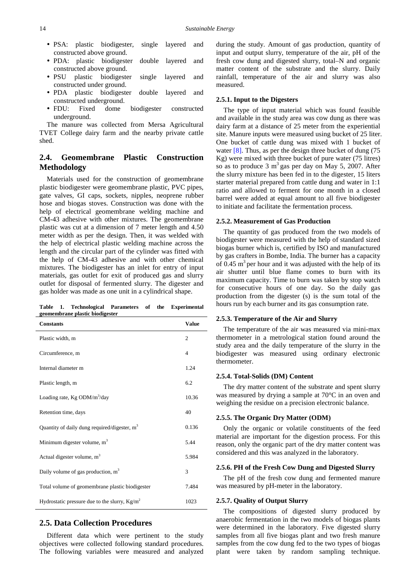- PSA: plastic biodigester, single layered and constructed above ground.
- PDA: plastic biodigester double layered and constructed above ground.
- PSU plastic biodigester single layered and constructed under ground.
- PDA plastic biodigester double layered and constructed underground.
- FDU: Fixed dome biodigester constructed underground.

The manure was collected from Mersa Agricultural TVET College dairy farm and the nearby private cattle shed.

# **2.4. Geomembrane Plastic Construction Methodology**

Materials used for the construction of geomembrane plastic biodigester were geomembrane plastic, PVC pipes, gate valves, GI caps, sockets, nipples, neoprene rubber hose and biogas stoves. Construction was done with the help of electrical geomembrane welding machine and CM-43 adhesive with other mixtures. The geomembrane plastic was cut at a dimension of 7 meter length and 4.50 meter width as per the design. Then, it was welded with the help of electrical plastic welding machine across the length and the circular part of the cylinder was fitted with the help of CM-43 adhesive and with other chemical mixtures. The biodigester has an inlet for entry of input materials, gas outlet for exit of produced gas and slurry outlet for disposal of fermented slurry. The digester and gas holder was made as one unit in a cylindrical shape.

**Table 1. Technological Parameters of the Experimental geomembrane plastic biodigester**

| <b>Constants</b>                                         | <b>Value</b>   |
|----------------------------------------------------------|----------------|
| Plastic width, m                                         | $\overline{c}$ |
| Circumference, m                                         | 4              |
| Internal diameter m                                      | 1.24           |
| Plastic length, m                                        | 6.2            |
| Loading rate, Kg ODM/m <sup>3</sup> /day                 | 10.36          |
| Retention time, days                                     | 40             |
| Quantity of daily dung required/digester, m <sup>3</sup> | 0.136          |
| Minimum digester volume, m <sup>3</sup>                  | 5.44           |
| Actual digester volume, $m3$                             | 5.984          |
| Daily volume of gas production, m <sup>3</sup>           | 3              |
| Total volume of geomembrane plastic biodigester          | 7.484          |
| Hydrostatic pressure due to the slurry, $Kg/m^2$         | 1023           |
|                                                          |                |

# **2.5. Data Collection Procedures**

Different data which were pertinent to the study objectives were collected following standard procedures. The following variables were measured and analyzed during the study. Amount of gas production, quantity of input and output slurry, temperature of the air, pH of the fresh cow dung and digested slurry, total–N and organic matter content of the substrate and the slurry. Daily rainfall, temperature of the air and slurry was also measured.

### **2.5.1. Input to the Digesters**

The type of input material which was found feasible and available in the study area was cow dung as there was dairy farm at a distance of 25 meter from the experiential site. Manure inputs were measured using bucket of 25 liter. One bucket of cattle dung was mixed with 1 bucket of water [\[8\].](#page-7-6) Thus, as per the design three bucket of dung (75) Kg) were mixed with three bucket of pure water (75 litres) so as to produce 3  $m<sup>3</sup>$  gas per day on May 5, 2007. After the slurry mixture has been fed in to the digester, 15 liters starter material prepared from cattle dung and water in 1:1 ratio and allowed to ferment for one month in a closed barrel were added at equal amount to all five biodigester to initiate and facilitate the fermentation process.

### **2.5.2. Measurement of Gas Production**

The quantity of gas produced from the two models of biodigester were measured with the help of standard sized biogas burner which is, certified by ISO and manufactured by gas crafters in Bombe, India. The burner has a capacity of 0.45  $m<sup>3</sup>$  per hour and it was adjusted with the help of its air shutter until blue flame comes to burn with its maximum capacity. Time to burn was taken by stop watch for consecutive hours of one day. So the daily gas production from the digester (s) is the sum total of the hours run by each burner and its gas consumption rate.

### **2.5.3. Temperature of the Air and Slurry**

The temperature of the air was measured via mini-max thermometer in a metrological station found around the study area and the daily temperature of the slurry in the biodigester was measured using ordinary electronic thermometer.

#### **2.5.4. Total-Solids (DM) Content**

The dry matter content of the substrate and spent slurry was measured by drying a sample at 70°C in an oven and weighing the residue on a precision electronic balance.

### **2.5.5. The Organic Dry Matter (ODM)**

Only the organic or volatile constituents of the feed material are important for the digestion process. For this reason, only the organic part of the dry matter content was considered and this was analyzed in the laboratory.

### **2.5.6. PH of the Fresh Cow Dung and Digested Slurry**

The pH of the fresh cow dung and fermented manure was measured by pH-meter in the laboratory.

#### **2.5.7. Quality of Output Slurry**

The compositions of digested slurry produced by anaerobic fermentation in the two models of biogas plants were determined in the laboratory. Five digested slurry samples from all five biogas plant and two fresh manure samples from the cow dung fed to the two types of biogas plant were taken by random sampling technique.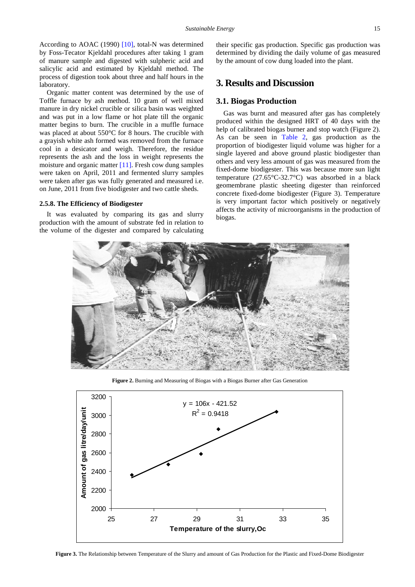According to AOAC (1990) [\[10\],](#page-7-8) total-N was determined by Foss-Tecator Kjeldahl procedures after taking 1 gram of manure sample and digested with sulpheric acid and salicylic acid and estimated by Kjeldahl method. The process of digestion took about three and half hours in the laboratory.

Organic matter content was determined by the use of Toffle furnace by ash method. 10 gram of well mixed manure in dry nickel crucible or silica basin was weighted and was put in a low flame or hot plate till the organic matter begins to burn. The crucible in a muffle furnace was placed at about 550°C for 8 hours. The crucible with a grayish white ash formed was removed from the furnace cool in a desicator and weigh. Therefore, the residue represents the ash and the loss in weight represents the moisture and organic matter [\[11\].](#page-7-9) Fresh cow dung samples were taken on April, 2011 and fermented slurry samples were taken after gas was fully generated and measured i.e. on June, 2011 from five biodigester and two cattle sheds.

### **2.5.8. The Efficiency of Biodigester**

It was evaluated by comparing its gas and slurry production with the amount of substrate fed in relation to the volume of the digester and compared by calculating their specific gas production. Specific gas production was determined by dividing the daily volume of gas measured by the amount of cow dung loaded into the plant.

# **3. Results and Discussion**

### **3.1. Biogas Production**

Gas was burnt and measured after gas has completely produced within the designed HRT of 40 days with the help of calibrated biogas burner and stop watch (Figure 2). As can be seen in [Table 2,](#page-4-0) gas production as the proportion of biodigester liquid volume was higher for a single layered and above ground plastic biodigester than others and very less amount of gas was measured from the fixed-dome biodigester. This was because more sun light temperature (27.65°C-32.7°C) was absorbed in a black geomembrane plastic sheeting digester than reinforced concrete fixed-dome biodigester (Figure 3). Temperature is very important factor which positively or negatively affects the activity of microorganisms in the production of biogas.

**Figure 2.** Burning and Measuring of Biogas with a Biogas Burner after Gas Generation



**Figure 3.** The Relationship between Temperature of the Slurry and amount of Gas Production for the Plastic and Fixed-Dome Biodigester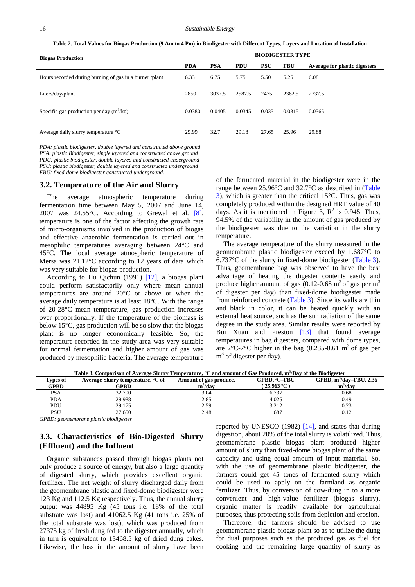**Table 2. Total Values for Biogas Production (9 Am to 4 Pm) in Biodigester with Different Types, Layers and Location of Installation**

<span id="page-4-0"></span>

| <b>Biogas Production</b>                                | <b>BIODIGESTER TYPE</b> |            |            |            |            |                               |
|---------------------------------------------------------|-------------------------|------------|------------|------------|------------|-------------------------------|
|                                                         | <b>PDA</b>              | <b>PSA</b> | <b>PDU</b> | <b>PSU</b> | <b>FBU</b> | Average for plastic digesters |
| Hours recorded during burning of gas in a burner /plant | 6.33                    | 6.75       | 5.75       | 5.50       | 5.25       | 6.08                          |
| Liters/day/plant                                        | 2850                    | 3037.5     | 2587.5     | 2475       | 2362.5     | 2737.5                        |
| Specific gas production per day $(m^3/kg)$              | 0.0380                  | 0.0405     | 0.0345     | 0.033      | 0.0315     | 0.0365                        |
| Average daily slurry temperature °C                     | 29.99                   | 32.7       | 29.18      | 27.65      | 25.96      | 29.88                         |

*PDA: plastic biodigester, double layered and constructed above ground*

*PSA: plastic Biodigester, single layered and constructed above ground*

*PDU: plastic biodigester, double layered and constructed underground PSU: plastic biodigester, double layered and constructed underground*

*FBU: fixed-dome biodigester constructed underground.*

### **3.2. Temperature of the Air and Slurry**

average atmospheric temperature during fermentation time between May 5, 2007 and June 14, 2007 was 24.55°C. According to Grewal et al. [\[8\],](#page-7-6) temperature is one of the factor affecting the growth rate of micro-organisms involved in the production of biogas and effective anaerobic fermentation is carried out in mesophilic temperatures averaging between 24°C and 45°C. The local average atmospheric temperature of Mersa was 21.12°C according to 12 years of data which was very suitable for biogas production.

According to Hu Qichun (1991) [\[12\],](#page-7-10) a biogas plant could perform satisfactorily only where mean annual temperatures are around 20°C or above or when the average daily temperature is at least 18°C. With the range of 20-28°C mean temperature, gas production increases over proportionally. If the temperature of the biomass is below 15°C, gas production will be so slow that the biogas plant is no longer economically feasible. So, the temperature recorded in the study area was very suitable for normal fermentation and higher amount of gas was produced by mesophilic bacteria. The average temperature of the fermented material in the biodigester were in the range between 25.96°C and 32.7°C as described in [\(Table](#page-4-1)  [3\)](#page-4-1), which is greater than the critical 15°C. Thus, gas was completely produced within the designed HRT value of 40 days. As it is mentioned in Figure 3,  $R^2$  is 0.945. Thus, 94.5% of the variability in the amount of gas produced by the biodigester was due to the variation in the slurry temperature.

The average temperature of the slurry measured in the geomembrane plastic biodigester exceed by 1.687°C to 6.737°C of the slurry in fixed-dome biodigester [\(Table 3\)](#page-4-1). Thus, geomembrane bag was observed to have the best advantage of heating the digester contents easily and produce higher amount of gas  $(0.12{\text -}0.68 \text{ m}^3)$  of gas per m<sup>3</sup> of digester per day) than fixed-dome biodigester made from reinforced concrete [\(Table 3\)](#page-4-1). Since its walls are thin and black in color, it can be heated quickly with an external heat source, such as the sun radiation of the same degree in the study area. Similar results were reported by Bui Xuan and Preston [\[13\]](#page-7-11) that found average temperatures in bag digesters, compared with dome types, are  $2^{\circ}$ C-7<sup> $\circ$ </sup>C higher in the bag (0.235-0.61 m<sup>3</sup> of gas per  $m<sup>3</sup>$  of digester per day).

**Table 3. Comparison of Average Slurry Temperature, °C and amount of Gas Produced, m3 /Day of the Biodigester**

<span id="page-4-1"></span>

| <b>Types of</b><br><b>GPBD</b>                                              | Average Slurry temperature, <sup>o</sup> C of<br>GPBD | Amount of gas produce,<br>$m^3$ /dav | <b>GPBD, °C–FBU</b><br>(25.963 °C) | GPBD, $m^3$ /day–FBU, 2.36<br>$m^3$ /dav |
|-----------------------------------------------------------------------------|-------------------------------------------------------|--------------------------------------|------------------------------------|------------------------------------------|
| <b>PSA</b>                                                                  | 32.700                                                | 3.04                                 | 6.737                              | 0.68                                     |
| <b>PDA</b>                                                                  | 29.988                                                | 2.85                                 | 4.025                              | 0.49                                     |
| PDU                                                                         | 29.175                                                | 2.59                                 | 3.212                              | 0.23                                     |
| PSU                                                                         | 27.650                                                | 2.48                                 | .687                               | 0.12                                     |
| the property of the control of the control of the control of the control of |                                                       |                                      |                                    |                                          |

*GPBD: geomembrane plastic biodigester*

# **3.3. Characteristics of Bio-Digested Slurry (Effluent) and the Influent**

Organic substances passed through biogas plants not only produce a source of energy, but also a large quantity of digested slurry, which provides excellent organic fertilizer. The net weight of slurry discharged daily from the geomembrane plastic and fixed-dome biodigester were 123 Kg and 112.5 Kg respectively. Thus, the annual slurry output was 44895 Kg (45 tons i.e. 18% of the total substrate was lost) and 41062.5 Kg (41 tons i.e. 25% of the total substrate was lost), which was produced from 27375 kg of fresh dung fed to the digester annually, which in turn is equivalent to 13468.5 kg of dried dung cakes. Likewise, the loss in the amount of slurry have been

reported by UNESCO (1982) [\[14\],](#page-7-12) and states that during digestion, about 20% of the total slurry is volatilized. Thus, geomembrane plastic biogas plant produced higher amount of slurry than fixed-dome biogas plant of the same capacity and using equal amount of input material. So, with the use of geomembrane plastic biodigester, the farmers could get 45 tones of fermented slurry which could be used to apply on the farmland as organic fertilizer. Thus, by conversion of cow-dung in to a more convenient and high-value fertilizer (biogas slurry), organic matter is readily available for agricultural purposes, thus protecting soils from depletion and erosion.

Therefore, the farmers should be advised to use geomembrane plastic biogas plant so as to utilize the dung for dual purposes such as the produced gas as fuel for cooking and the remaining large quantity of slurry as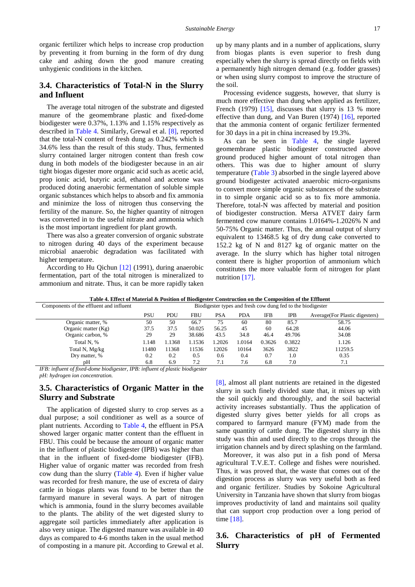organic fertilizer which helps to increase crop production by preventing it from burning in the form of dry dung cake and ashing down the good manure creating unhygienic conditions in the kitchen.

### **3.4. Characteristics of Total-N in the Slurry and Influent**

The average total nitrogen of the substrate and digested manure of the geomembrane plastic and fixed-dome biodigester were 0.37%, 1.13% and 1.15% respectively as described in [Table 4.](#page-5-0) Similarly, Grewal et al. [\[8\],](#page-7-6) reported that the total-N content of fresh dung as 0.242% which is 34.6% less than the result of this study. Thus, fermented slurry contained larger nitrogen content than fresh cow dung in both models of the biodigester because in an air tight biogas digester more organic acid such as acetic acid, prop ionic acid, butyric acid, ethanol and acetone was produced doting anaerobic fermentation of soluble simple organic substances which helps to absorb and fix ammonia and minimize the loss of nitrogen thus conserving the fertility of the manure. So, the higher quantity of nitrogen was converted in to the useful nitrate and ammonia which is the most important ingredient for plant growth.

There was also a greater conversion of organic substrate to nitrogen during 40 days of the experiment because microbial anaerobic degradation was facilitated with higher temperature.

According to Hu Qichun [\[12\]](#page-7-10) (1991), during anaerobic fermentation, part of the total nitrogen is mineralized to ammonium and nitrate. Thus, it can be more rapidly taken up by many plants and in a number of applications, slurry from biogas plants is even superior to fresh dung especially when the slurry is spread directly on fields with a permanently high nitrogen demand (e.g. fodder grasses) or when using slurry compost to improve the structure of the soil.

Processing evidence suggests, however, that slurry is much more effective than dung when applied as fertilizer, French (1979) [\[15\],](#page-7-13) discusses that slurry is 13 % more effective than dung, and Van Buren (1974) [\[16\],](#page-7-14) reported that the ammonia content of organic fertilizer fermented for 30 days in a pit in china increased by 19.3%.

As can be seen in [Table 4,](#page-5-0) the single layered geomembrane plastic biodigester constructed above ground produced higher amount of total nitrogen than others. This was due to higher amount of slurry temperature [\(Table 3\)](#page-4-1) absorbed in the single layered above ground biodigester activated anaerobic micro-organisms to convert more simple organic substances of the substrate in to simple organic acid so as to fix more ammonia. Therefore, total-N was affected by material and position of biodigester construction. Mersa ATVET dairy farm fermented cow manure contains 1.0164%-1.2026% N and 50-75% Organic matter. Thus, the annual output of slurry equivalent to 13468.5 kg of dry dung cake converted to 152.2 kg of N and 8127 kg of organic matter on the average. In the slurry which has higher total nitrogen content there is higher proportion of ammonium which constitutes the more valuable form of nitrogen for plant nutrition [\[17\].](#page-7-15)

<span id="page-5-0"></span>

| <b>IPB</b><br>Average (For Plastic digesters) |            |            |            | Biodigester types and fresh cow dung fed to the biodigester |        |       |                     |  |  |
|-----------------------------------------------|------------|------------|------------|-------------------------------------------------------------|--------|-------|---------------------|--|--|
|                                               | <b>IFB</b> | <b>PDA</b> | <b>PSA</b> | <b>FBU</b>                                                  | PDU    | PSU   |                     |  |  |
| 80<br>85.7<br>58.75                           |            | 60         | 75         | 66.7                                                        | 50     | 50    | Organic matter, %   |  |  |
| 44.06<br>60<br>64.28                          |            | 45         | 56.25      | 50.025                                                      | 37.5   | 37.5  | Organic matter (Kg) |  |  |
| 34.08<br>49.706<br>46.4                       |            | 34.8       | 43.5       | 38.686                                                      | 29     | 29    | Organic carbon, %   |  |  |
| 0.3822<br>1.126<br>0.3626                     |            | 1.0164     | .2026      | 1.1536                                                      | 1.1368 | 1.148 | Total N, %          |  |  |
| 3822<br>11259.5<br>3626                       |            | 10164      | 12026      | 11536                                                       | 11368  | 11480 | Total N, Mg/kg      |  |  |
| 0.35<br>0.7<br>1.0                            |            | 0.4        | 0.6        | 0.5                                                         | 0.2    | 0.2   | Dry matter, %       |  |  |
| 6.8<br>7.0<br>7.1                             |            | 7.6        | 7.1        | 7.2                                                         | 6.9    | 6.8   | pΗ                  |  |  |
|                                               |            |            |            |                                                             |        |       |                     |  |  |

**Table 4. Effect of Material & Position of Biodigester Construction on the Composition of the Effluent**

*IFB: influent of fixed-dome biodigester, IPB: influent of plastic biodigester pH: hydrogen ion concentration.*

# **3.5. Characteristics of Organic Matter in the Slurry and Substrate**

The application of digested slurry to crop serves as a dual purpose; a soil conditioner as well as a source of plant nutrients. According to [Table 4,](#page-5-0) the effluent in PSA showed larger organic matter content than the effluent in FBU. This could be because the amount of organic matter in the influent of plastic biodigester (IPB) was higher than that in the influent of fixed-dome biodigester (IFB). Higher value of organic matter was recorded from fresh cow dung than the slurry [\(Table 4\)](#page-5-0). Even if higher value was recorded for fresh manure, the use of excreta of dairy cattle in biogas plants was found to be better than the farmyard manure in several ways. A part of nitrogen which is ammonia, found in the slurry becomes available to the plants. The ability of the wet digested slurry to aggregate soil particles immediately after application is also very unique. The digested manure was available in 40 days as compared to 4-6 months taken in the usual method of composting in a manure pit. According to Grewal et al.

[\[8\],](#page-7-6) almost all plant nutrients are retained in the digested slurry in such finely divided state that, it mixes up with the soil quickly and thoroughly, and the soil bacterial activity increases substantially. Thus the application of digested slurry gives better yields for all crops as compared to farmyard manure (FYM) made from the same quantity of cattle dung. The digested slurry in this study was thin and used directly to the crops through the irrigation channels and by direct splashing on the farmland.

Moreover, it was also put in a fish pond of Mersa agricultural T.V.E.T. College and fishes were nourished. Thus, it was proved that, the waste that comes out of the digestion process as slurry was very useful both as feed and organic fertilizer. Studies by Sokoine Agricultural University in Tanzania have shown that slurry from biogas improves productivity of land and maintains soil quality that can support crop production over a long period of time [\[18\].](#page-7-16)

# **3.6. Characteristics of pH of Fermented Slurry**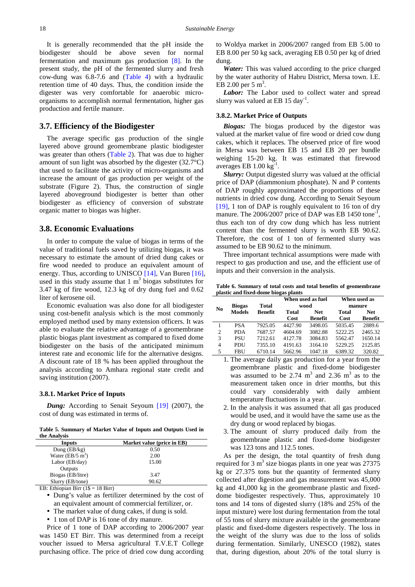It is generally recommended that the pH inside the biodigester should be above seven for normal fermentation and maximum gas production [\[8\].](#page-7-6) In the present study, the pH of the fermented slurry and fresh cow-dung was 6.8-7.6 and [\(Table 4\)](#page-5-0) with a hydraulic retention time of 40 days. Thus, the condition inside the digester was very comfortable for anaerobic microorganisms to accomplish normal fermentation, higher gas production and fertile manure.

### **3.7. Efficiency of the Biodigester**

The average specific gas production of the single layered above ground geomembrane plastic biodigester was greater than others [\(Table 2\)](#page-4-0). That was due to higher amount of sun light was absorbed by the digester (32.7°C) that used to facilitate the activity of micro-organisms and increase the amount of gas production per weight of the substrate (Figure 2). Thus, the construction of single layered aboveground biodigester is better than other biodigester as efficiency of conversion of substrate organic matter to biogas was higher.

### **3.8. Economic Evaluations**

In order to compute the value of biogas in terms of the value of traditional fuels saved by utilizing biogas, it was necessary to estimate the amount of dried dung cakes or fire wood needed to produce an equivalent amount of energy. Thus, according to UNISCO [\[14\],](#page-7-12) Van Buren [\[16\],](#page-7-14) used in this study assume that  $1 \text{ m}^3$  biogas substitutes for 3.47 kg of fire wood, 12.3 kg of dry dung fuel and 0.62 liter of kerosene oil.

Economic evaluation was also done for all biodigester using cost-benefit analysis which is the most commonly employed method used by many extension officers. It was able to evaluate the relative advantage of a geomembrane plastic biogas plant investment as compared to fixed dome biodigester on the basis of the anticipated minimum interest rate and economic life for the alternative designs. A discount rate of 18 % has been applied throughout the analysis according to Amhara regional state credit and saving institution (2007).

#### **3.8.1. Market Price of Inputs**

*Dung:* According to Senait Seyoum [\[19\]](#page-7-17) (2007), the cost of dung was estimated in terms of.

**Table 5. Summary of Market Value of Inputs and Outputs Used in the Analysis**

| Inputs             | Market value (price in EB) |
|--------------------|----------------------------|
| Dung $(EB/kg)$     | 0.50                       |
| Water (EB/5 $m3$ ) | 2.00                       |
| Labor $(EB/day)$   | 15.00                      |
| Outputs            |                            |
| Biogas (EB/litre)  | 3.47                       |
| Slurry (EB/tone)   | 90.62                      |

EB: Ethiopian Birr (1\$ = 18 Birr)

- Dung's value as fertilizer determined by the cost of an equivalent amount of commercial fertilizer, or.
- The market value of dung cakes, if dung is sold.
- 1 ton of DAP is 16 tone of dry manure.

Price of 1 tone of DAP according to 2006/2007 year was 1450 ET Birr. This was determined from a receipt voucher issued to Mersa agricultural T.V.E.T College purchasing office. The price of dried cow dung according to Woldya market in 2006/2007 ranged from EB 5.00 to EB 8.00 per 50 kg sack, averaging EB 0.50 per kg of dried dung.

*Water:* This was valued according to the price charged by the water authority of Habru District, Mersa town. I.E.  $EB$  2.00 per 5 m<sup>3</sup>.

*Labor:* The Labor used to collect water and spread slurry was valued at EB  $15 \text{ day}^{-1}$ .

#### **3.8.2. Market Price of Outputs**

*Biogas:* The biogas produced by the digestor was valued at the market value of fire wood or dried cow dung cakes, which it replaces. The observed price of fire wood in Mersa was between EB 15 and EB 20 per bundle weighing 15-20 kg. It was estimated that firewood averages EB 1.00 kg<sup>-1</sup>.

*Slurry:* Output digested slurry was valued at the official price of DAP (diammonium phosphate). N and P contents of DAP roughly approximated the proportions of these nutrients in dried cow dung. According to Senait Seyoum [\[19\],](#page-7-17) 1 ton of DAP is roughly equivalent to 16 ton of dry manure. The 2006/2007 price of DAP was EB 1450 tone<sup>-1</sup> , thus each ton of dry cow dung which has less nutrient content than the fermented slurry is worth EB 90.62. Therefore, the cost of 1 ton of fermented slurry was assumed to be EB 90.62 to the minimum.

Three important technical assumptions were made with respect to gas production and use, and the efficient use of inputs and their conversion in the analysis.

**Table 6. Summary of total costs and total benefits of geomembrane plastic and fixed-dome biogas plants**

|                |               |                |              | When used as fuel |         | When used as   |
|----------------|---------------|----------------|--------------|-------------------|---------|----------------|
| No             | <b>Biogas</b> | Total          | wood         |                   |         | manure         |
|                | <b>Models</b> | <b>Benefit</b> | <b>Total</b> | <b>Net</b>        | Total   | <b>Net</b>     |
|                |               |                | Cost         | <b>Benefit</b>    | Cost    | <b>Benefit</b> |
|                | <b>PSA</b>    | 7925.05        | 4427.90      | 3498.05           | 5035.45 | 2889.6         |
| $\overline{c}$ | <b>PDA</b>    | 7687.57        | 4604.69      | 3082.88           | 5222.25 | 2465.32        |
| 3              | <b>PSU</b>    | 7212.61        | 4127.78      | 3084.83           | 5562.47 | 1650.14        |
| 4              | PDU           | 7355.10        | 4191.63      | 3164.10           | 5229.25 | 2125.85        |
| 5              | FBU           | 6710.14        | 5662.96      | 1047.18           | 6389.32 | 320.82         |

1. The average daily gas production for a year from the geomembrane plastic and fixed-dome biodigester was assumed to be 2.74  $m<sup>3</sup>$  and 2.36  $m<sup>3</sup>$  as to the measurement taken once in drier months, but this could vary considerably with daily ambient temperature fluctuations in a year.

- 2. In the analysis it was assumed that all gas produced would be used, and it would have the same use as the dry dung or wood replaced by biogas.
- 3. The amount of slurry produced daily from the geomembrane plastic and fixed-dome biodigester was 123 tons and 112.5 tones.

As per the design, the total quantity of fresh dung required for 3  $m<sup>3</sup>$  size biogas plants in one year was 27375 kg or 27.375 tons but the quantity of fermented slurry collected after digestion and gas measurement was 45,000 kg and 41,000 kg in the geomembrane plastic and fixeddome biodigester respectively. Thus, approximately 10 tons and 14 tons of digested slurry (18% and 25% of the input mixture) were lost during fermentation from the total of 55 tons of slurry mixture available in the geomembrane plastic and fixed-dome digesters respectively. The loss in the weight of the slurry was due to the loss of solids during fermentation. Similarly, UNESCO (1982), states that, during digestion, about 20% of the total slurry is